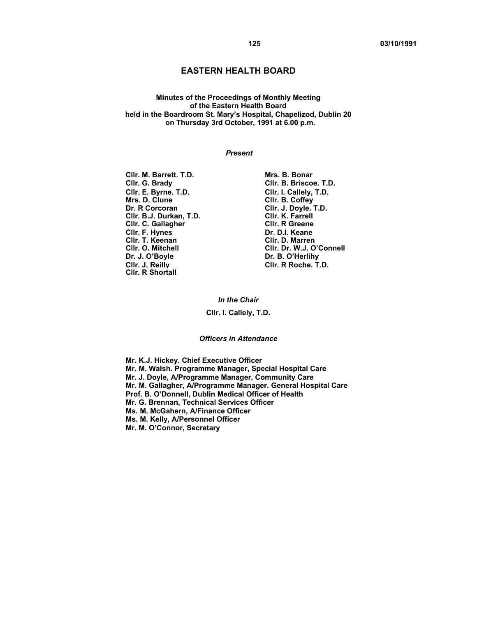# **EASTERN HEALTH BOARD**

**Minutes of the Proceedings of Monthly Meeting of the Eastern Health Board held in the Boardroom St. Mary's Hospital, Chapelizod, Dublin 20 on Thursday 3rd October, 1991 at 6.00 p.m.** 

#### *Present*

**Cllr. M. Barrett. T.D. Mrs. B. Bonar Clir. E. Byrne. T.D.** Clir. I. Callely, T.D. Clir. B. Coffev Mrs. D. Clune **Client Client Client Client Client Client Client Client Client Client Client Client Client Client**<br>Client Client Client Client Client Client Client Client Client Client Client Client Client Client Client Cli **Cllr. B.J. Durkan, T.D. Cllr. K. Farrell Cllr. C. Gallagher CIIr. F. Hynes Dr. D.I. Keane CIIr. T. Keenan**<br>
CIIr. T. Keenan **Dr. D. D. D. Marren Cllr. T. Keenan Cllr. D. Marren Cllr. J. Reilly Cllr. R Roche. T.D. Cllr. R Shortall** 

**Cllr. G. Brady Cllr. B. Briscoe. T.D. Cllr. J. Doyle. T.D.**<br>Cllr. K. Farrell **Cllr. O. Mitchell Cllr. Dr. W.J. O'Connell**  Dr. B. O'Herlihy

> *In the Chair*  **Cllr. I. Callely, T.D.**

*Officers in Attendance* 

**Mr. K.J. Hickey. Chief Executive Officer Mr. M. Walsh. Programme Manager, Special Hospital Care Mr. J. Doyle, A/Programme Manager, Community Care Mr. M. Gallagher, A/Programme Manager. General Hospital Care Prof. B. O'Donnell, Dublin Medical Officer of Health Mr. G. Brennan, Technical Services Officer Ms. M. McGahern, A/Finance Officer Ms. M. Kelly, A/Personnel Officer Mr. M. O'Connor, Secretary**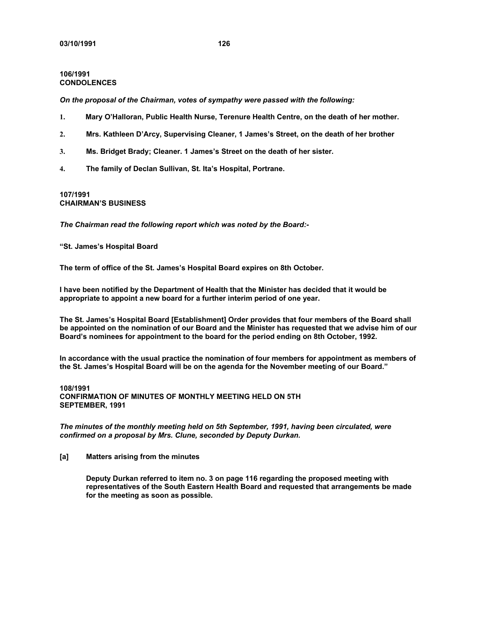# **106/1991 CONDOLENCES**

*On the proposal of the Chairman, votes of sympathy were passed with the following:* 

- **1. Mary O'Halloran, Public Health Nurse, Terenure Health Centre, on the death of her mother.**
- **2. Mrs. Kathleen D'Arcy, Supervising Cleaner, 1 James's Street, on the death of her brother**
- **3. Ms. Bridget Brady; Cleaner. 1 James's Street on the death of her sister.**
- **4. The family of Declan Sullivan, St. Ita's Hospital, Portrane.**

# **107/1991 CHAIRMAN'S BUSINESS**

*The Chairman read the following report which was noted by the Board:-* 

**"St. James's Hospital Board** 

**The term of office of the St. James's Hospital Board expires on 8th October.** 

**I have been notified by the Department of Health that the Minister has decided that it would be appropriate to appoint a new board for a further interim period of one year.** 

**The St. James's Hospital Board [Establishment] Order provides that four members of the Board shall be appointed on the nomination of our Board and the Minister has requested that we advise him of our Board's nominees for appointment to the board for the period ending on 8th October, 1992.** 

**In accordance with the usual practice the nomination of four members for appointment as members of the St. James's Hospital Board will be on the agenda for the November meeting of our Board."** 

# **108/1991 CONFIRMATION OF MINUTES OF MONTHLY MEETING HELD ON 5TH SEPTEMBER, 1991**

*The minutes of the monthly meeting held on 5th September, 1991, having been circulated, were confirmed on a proposal by Mrs. Clune, seconded by Deputy Durkan.* 

**[a] Matters arising from the minutes** 

**Deputy Durkan referred to item no. 3 on page 116 regarding the proposed meeting with representatives of the South Eastern Health Board and requested that arrangements be made for the meeting as soon as possible.**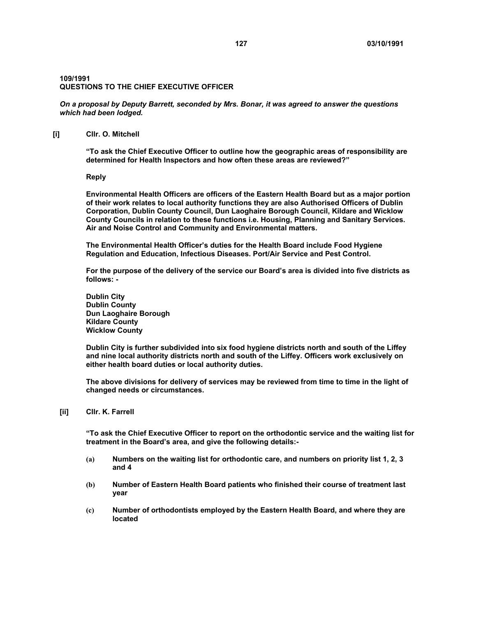# **109/1991 QUESTIONS TO THE CHIEF EXECUTIVE OFFICER**

*On a proposal by Deputy Barrett, seconded by Mrs. Bonar, it was agreed to answer the questions which had been lodged.* 

#### **[i] Cllr. O. Mitchell**

**"To ask the Chief Executive Officer to outline how the geographic areas of responsibility are determined for Health Inspectors and how often these areas are reviewed?"** 

**Reply** 

**Environmental Health Officers are officers of the Eastern Health Board but as a major portion of their work relates to local authority functions they are also Authorised Officers of Dublin Corporation, Dublin County Council, Dun Laoghaire Borough Council, Kildare and Wicklow County Councils in relation to these functions i.e. Housing, Planning and Sanitary Services. Air and Noise Control and Community and Environmental matters.** 

**The Environmental Health Officer's duties for the Health Board include Food Hygiene Regulation and Education, Infectious Diseases. Port/Air Service and Pest Control.** 

**For the purpose of the delivery of the service our Board's area is divided into five districts as follows: -** 

**Dublin City Dublin County Dun Laoghaire Borough Kildare County Wicklow County** 

**Dublin City is further subdivided into six food hygiene districts north and south of the Liffey and nine local authority districts north and south of the Liffey. Officers work exclusively on either health board duties or local authority duties.** 

**The above divisions for delivery of services may be reviewed from time to time in the light of changed needs or circumstances.** 

**[ii] Cllr. K. Farrell** 

**"To ask the Chief Executive Officer to report on the orthodontic service and the waiting list for treatment in the Board's area, and give the following details:-** 

- **(a) Numbers on the waiting list for orthodontic care, and numbers on priority list 1, 2, 3 and 4**
- **(b) Number of Eastern Health Board patients who finished their course of treatment last year**
- **(c) Number of orthodontists employed by the Eastern Health Board, and where they are located**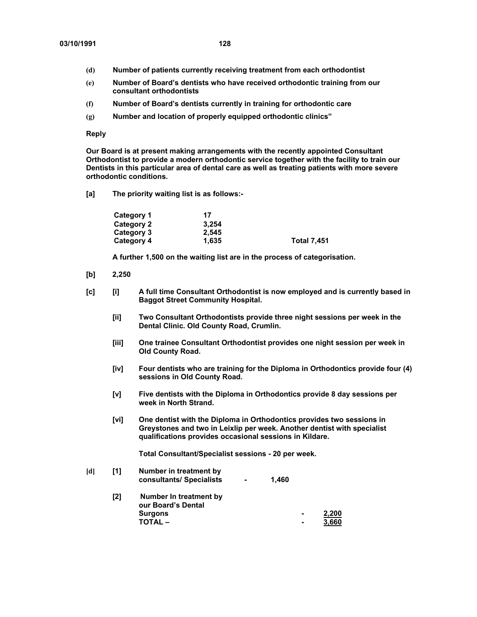- **(d) Number of patients currently receiving treatment from each orthodontist**
- **(e) Number of Board's dentists who have received orthodontic training from our consultant orthodontists**
- **(f) Number of Board's dentists currently in training for orthodontic care**
- **(g) Number and location of properly equipped orthodontic clinics"**

#### **Reply**

**Our Board is at present making arrangements with the recently appointed Consultant Orthodontist to provide a modern orthodontic service together with the facility to train our Dentists in this particular area of dental care as well as treating patients with more severe orthodontic conditions.** 

**[a] The priority waiting list is as follows:-** 

| Category 1 | 17    |                    |
|------------|-------|--------------------|
| Category 2 | 3.254 |                    |
| Category 3 | 2.545 |                    |
| Category 4 | 1.635 | <b>Total 7,451</b> |

**A further 1,500 on the waiting list are in the process of categorisation.** 

- **[b] 2,250**
- **[c] [i] A full time Consultant Orthodontist is now employed and is currently based in Baggot Street Community Hospital.** 
	- **[ii] Two Consultant Orthodontists provide three night sessions per week in the Dental Clinic. Old County Road, Crumlin.**
	- **[iii] One trainee Consultant Orthodontist provides one night session per week in Old County Road.**
	- **[iv] Four dentists who are training for the Diploma in Orthodontics provide four (4) sessions in Old County Road.**
	- **[v] Five dentists with the Diploma in Orthodontics provide 8 day sessions per week in North Strand.**
	- **[vi] One dentist with the Diploma in Orthodontics provides two sessions in Greystones and two in Leixlip per week. Another dentist with specialist qualifications provides occasional sessions in Kildare.**

**Total Consultant/Specialist sessions - 20 per week.** 

| [d] | [1] | Number in treatment by<br>consultants/ Specialists | $\blacksquare$ | 1.460 |                |       |
|-----|-----|----------------------------------------------------|----------------|-------|----------------|-------|
|     | [2] | Number In treatment by<br>our Board's Dental       |                |       |                |       |
|     |     | <b>Surgons</b>                                     |                |       | $\blacksquare$ | 2,200 |
|     |     | <b>TOTAL –</b>                                     |                |       | $\blacksquare$ | 3.660 |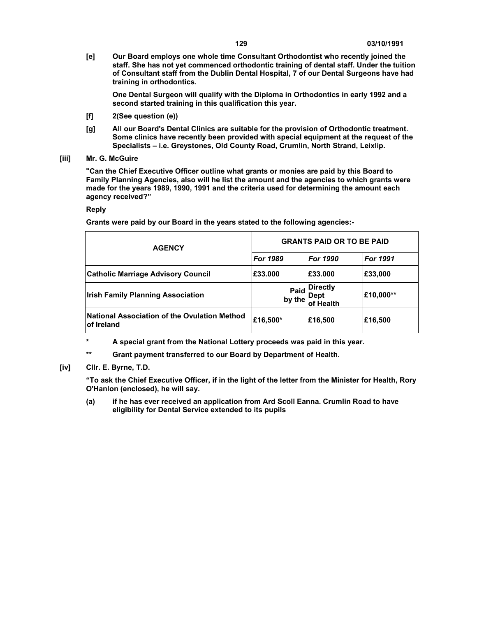**[e] Our Board employs one whole time Consultant Orthodontist who recently joined the staff. She has not yet commenced orthodontic training of dental staff. Under the tuition of Consultant staff from the Dublin Dental Hospital, 7 of our Dental Surgeons have had training in orthodontics.** 

**One Dental Surgeon will qualify with the Diploma in Orthodontics in early 1992 and a second started training in this qualification this year.** 

- **[f] 2(See question (e))**
- **[g] All our Board's Dental Clinics are suitable for the provision of Orthodontic treatment. Some clinics have recently been provided with special equipment at the request of the Specialists – i.e. Greystones, Old County Road, Crumlin, North Strand, Leixlip.**
- **[iii] Mr. G. McGuire**

**"Can the Chief Executive Officer outline what grants or monies are paid by this Board to Family Planning Agencies, also will he list the amount and the agencies to which grants were made for the years 1989, 1990, 1991 and the criteria used for determining the amount each agency received?"** 

# **Reply**

**Grants were paid by our Board in the years stated to the following agencies:-** 

| <b>AGENCY</b>                                                     | <b>GRANTS PAID OR TO BE PAID</b> |                                      |                 |  |
|-------------------------------------------------------------------|----------------------------------|--------------------------------------|-----------------|--|
|                                                                   | <b>For 1989</b>                  | <b>For 1990</b>                      | <b>For 1991</b> |  |
| <b>Catholic Marriage Advisory Council</b>                         | £33.000                          | E33.000                              | £33,000         |  |
| <b>Irish Family Planning Association</b>                          | Paid<br>by the                   | <b>Directly</b><br>Dept<br>of Health | £10,000**       |  |
| National Association of the Ovulation Method<br><b>of Ireland</b> | £16,500*                         | £16,500                              | £16,500         |  |

**\* A special grant from the National Lottery proceeds was paid in this year.** 

**\*\* Grant payment transferred to our Board by Department of Health.** 

**[iv] Cllr. E. Byrne, T.D.** 

**"To ask the Chief Executive Officer, if in the light of the letter from the Minister for Health, Rory O'Hanlon (enclosed), he will say.** 

**(a) if he has ever received an application from Ard Scoll Eanna. Crumlin Road to have eligibility for Dental Service extended to its pupils**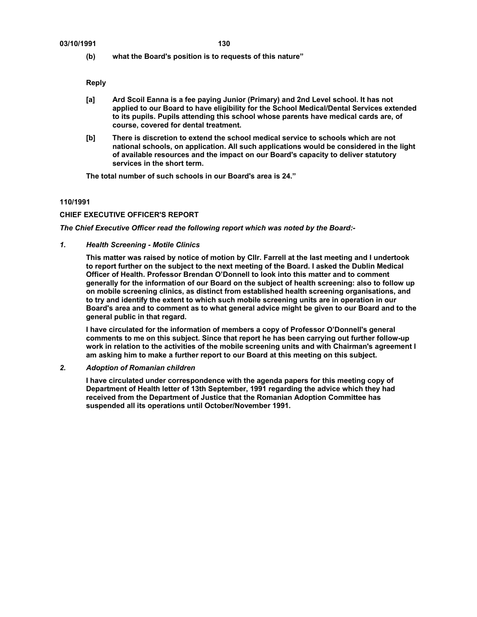**(b) what the Board's position is to requests of this nature"** 

**Reply** 

- **[a] Ard Scoil Eanna is a fee paying Junior (Primary) and 2nd Level school. It has not applied to our Board to have eligibility for the School Medical/Dental Services extended to its pupils. Pupils attending this school whose parents have medical cards are, of course, covered for dental treatment.**
- **[b] There is discretion to extend the school medical service to schools which are not national schools, on application. All such applications would be considered in the light of available resources and the impact on our Board's capacity to deliver statutory services in the short term.**

**The total number of such schools in our Board's area is 24."** 

# **110/1991**

#### **CHIEF EXECUTIVE OFFICER'S REPORT**

*The Chief Executive Officer read the following report which was noted by the Board:-* 

*1. Health Screening - Motile Clinics* 

**This matter was raised by notice of motion by Cllr. Farrell at the last meeting and I undertook to report further on the subject to the next meeting of the Board. I asked the Dublin Medical Officer of Health. Professor Brendan O'Donnell to look into this matter and to comment generally for the information of our Board on the subject of health screening: also to follow up on mobile screening clinics, as distinct from established health screening organisations, and to try and identify the extent to which such mobile screening units are in operation in our Board's area and to comment as to what general advice might be given to our Board and to the general public in that regard.** 

**I have circulated for the information of members a copy of Professor O'Donnell's general comments to me on this subject. Since that report he has been carrying out further follow-up work in relation to the activities of the mobile screening units and with Chairman's agreement I am asking him to make a further report to our Board at this meeting on this subject.** 

*2. Adoption of Romanian children* 

**I have circulated under correspondence with the agenda papers for this meeting copy of Department of Health letter of 13th September, 1991 regarding the advice which they had received from the Department of Justice that the Romanian Adoption Committee has suspended all its operations until October/November 1991.**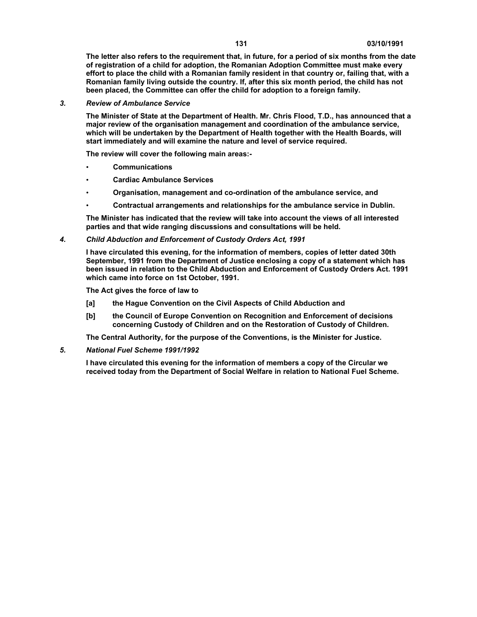**The letter also refers to the requirement that, in future, for a period of six months from the date of registration of a child for adoption, the Romanian Adoption Committee must make every effort to place the child with a Romanian family resident in that country or, failing that, with a Romanian family living outside the country. If, after this six month period, the child has not been placed, the Committee can offer the child for adoption to a foreign family.** 

#### *3. Review of Ambulance Service*

**The Minister of State at the Department of Health. Mr. Chris Flood, T.D., has announced that a major review of the organisation management and coordination of the ambulance service, which will be undertaken by the Department of Health together with the Health Boards, will start immediately and will examine the nature and level of service required.** 

**The review will cover the following main areas:-** 

- **Communications**
- **Cardiac Ambulance Services**
- **Organisation, management and co-ordination of the ambulance service, and**
- **Contractual arrangements and relationships for the ambulance service in Dublin.**

**The Minister has indicated that the review will take into account the views of all interested parties and that wide ranging discussions and consultations will be held.** 

#### *4. Child Abduction and Enforcement of Custody Orders Act, 1991*

**I have circulated this evening, for the information of members, copies of letter dated 30th September, 1991 from the Department of Justice enclosing a copy of a statement which has been issued in relation to the Child Abduction and Enforcement of Custody Orders Act. 1991 which came into force on 1st October, 1991.** 

**The Act gives the force of law to** 

- **[a] the Hague Convention on the Civil Aspects of Child Abduction and**
- **[b] the Council of Europe Convention on Recognition and Enforcement of decisions concerning Custody of Children and on the Restoration of Custody of Children.**

**The Central Authority, for the purpose of the Conventions, is the Minister for Justice.** 

*5. National Fuel Scheme 1991/1992* 

**I have circulated this evening for the information of members a copy of the Circular we received today from the Department of Social Welfare in relation to National Fuel Scheme.**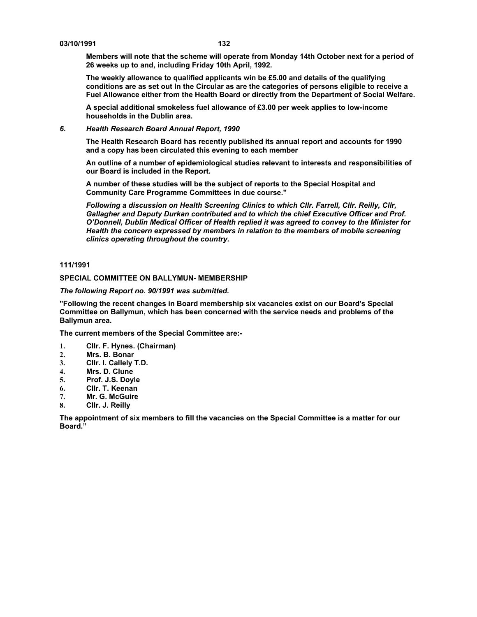#### **03/10/1991 132**

**Members will note that the scheme will operate from Monday 14th October next for a period of 26 weeks up to and, including Friday 10th April, 1992.** 

**The weekly allowance to qualified applicants win be £5.00 and details of the qualifying conditions are as set out In the Circular as are the categories of persons eligible to receive a Fuel Allowance either from the Health Board or directly from the Department of Social Welfare.** 

**A special additional smokeless fuel allowance of £3.00 per week applies to low-income households in the Dublin area.** 

#### *6. Health Research Board Annual Report, 1990*

**The Health Research Board has recently published its annual report and accounts for 1990 and a copy has been circulated this evening to each member** 

**An outline of a number of epidemiological studies relevant to interests and responsibilities of our Board is included in the Report.** 

**A number of these studies will be the subject of reports to the Special Hospital and Community Care Programme Committees in due course."** 

*Following a discussion on Health Screening Clinics to which Cllr. Farrell, Cllr. Reilly, Cllr, Gallagher and Deputy Durkan contributed and to which the chief Executive Officer and Prof. O'Donnell, Dublin Medical Officer of Health replied it was agreed to convey to the Minister for Health the concern expressed by members in relation to the members of mobile screening clinics operating throughout the country.* 

# **111/1991**

#### **SPECIAL COMMITTEE ON BALLYMUN- MEMBERSHIP**

*The following Report no. 90/1991 was submitted.* 

**"Following the recent changes in Board membership six vacancies exist on our Board's Special Committee on Ballymun, which has been concerned with the service needs and problems of the Ballymun area.** 

**The current members of the Special Committee are:-** 

- **1. Cllr. F. Hynes. (Chairman)**
- **2. Mrs. B. Bonar**
- **3. Cllr. I. Callely T.D.**
- **4. Mrs. D. Clune**
- **5. Prof. J.S. Doyle**
- **6. Cllr. T. Keenan**
- **7. Mr. G. McGuire**
- **8. Cllr. J. Reilly**

**The appointment of six members to fill the vacancies on the Special Committee is a matter for our Board."**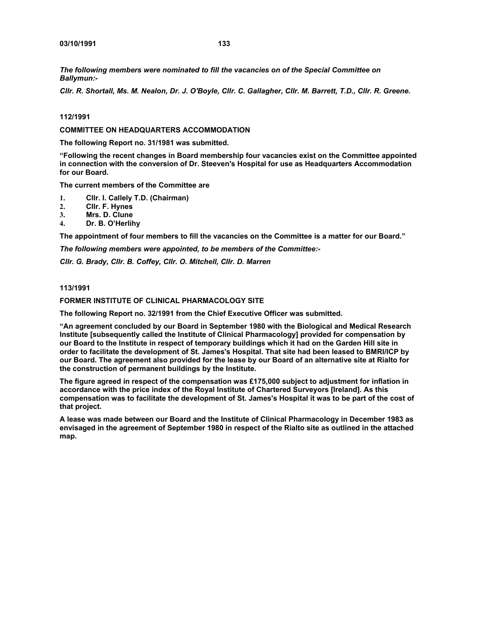*The following members were nominated to fill the vacancies on of the Special Committee on Ballymun:-* 

*Cllr. R. Shortall, Ms. M. Nealon, Dr. J. O'Boyle, Cllr. C. Gallagher, Cllr. M. Barrett, T.D., Cllr. R. Greene.* 

#### **112/1991**

**COMMITTEE ON HEADQUARTERS ACCOMMODATION** 

**The following Report no. 31/1981 was submitted.** 

**"Following the recent changes in Board membership four vacancies exist on the Committee appointed in connection with the conversion of Dr. Steeven's Hospital for use as Headquarters Accommodation for our Board.** 

**The current members of the Committee are** 

- **1. Cllr. I. Callely T.D. (Chairman)**
- **2. Cllr. F. Hynes**
- **3. Mrs. D. Clune**
- **4. Dr. B. O'Herlihy**

**The appointment of four members to fill the vacancies on the Committee is a matter for our Board."** 

*The following members were appointed, to be members of the Committee:-* 

*Cllr. G. Brady, Cllr. B. Coffey, Cllr. O. Mitchell, Cllr. D. Marren* 

#### **113/1991**

#### **FORMER INSTITUTE OF CLINICAL PHARMACOLOGY SITE**

**The following Report no. 32/1991 from the Chief Executive Officer was submitted.** 

**"An agreement concluded by our Board in September 1980 with the Biological and Medical Research Institute [subsequently called the Institute of Clinical Pharmacology] provided for compensation by our Board to the Institute in respect of temporary buildings which it had on the Garden Hill site in order to facilitate the development of St. James's Hospital. That site had been leased to BMRI/ICP by our Board. The agreement also provided for the lease by our Board of an alternative site at Rialto for the construction of permanent buildings by the Institute.** 

**The figure agreed in respect of the compensation was £175,000 subject to adjustment for inflation in accordance with the price index of the Royal Institute of Chartered Surveyors [Ireland]. As this compensation was to facilitate the development of St. James's Hospital it was to be part of the cost of that project.** 

**A lease was made between our Board and the Institute of Clinical Pharmacology in December 1983 as envisaged in the agreement of September 1980 in respect of the Rialto site as outlined in the attached map.**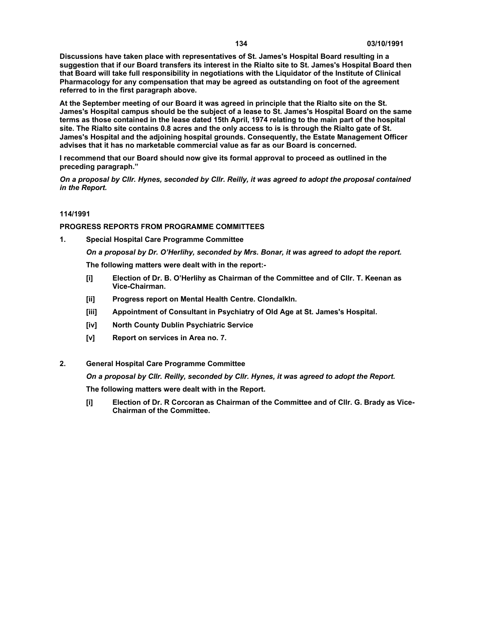**Discussions have taken place with representatives of St. James's Hospital Board resulting in a suggestion that if our Board transfers its interest in the Rialto site to St. James's Hospital Board then that Board will take full responsibility in negotiations with the Liquidator of the Institute of Clinical Pharmacology for any compensation that may be agreed as outstanding on foot of the agreement referred to in the first paragraph above.** 

**At the September meeting of our Board it was agreed in principle that the Rialto site on the St. James's Hospital campus should be the subject of a lease to St. James's Hospital Board on the same terms as those contained in the lease dated 15th April, 1974 relating to the main part of the hospital site. The Rialto site contains 0.8 acres and the only access to is is through the Rialto gate of St. James's Hospital and the adjoining hospital grounds. Consequently, the Estate Management Officer advises that it has no marketable commercial value as far as our Board is concerned.** 

**I recommend that our Board should now give its formal approval to proceed as outlined in the preceding paragraph."** 

*On a proposal by Cllr. Hynes, seconded by Cllr. Reilly, it was agreed to adopt the proposal contained in the Report.* 

# **114/1991**

#### **PROGRESS REPORTS FROM PROGRAMME COMMITTEES**

**1. Special Hospital Care Programme Committee** 

*On a proposal by Dr. O'Herlihy, seconded by Mrs. Bonar, it was agreed to adopt the report.*  **The following matters were dealt with in the report:-** 

- **[i] Election of Dr. B. O'Herlihy as Chairman of the Committee and of Cllr. T. Keenan as Vice-Chairman.**
- **[ii] Progress report on Mental Health Centre. Clondalkln.**
- **[iii] Appointment of Consultant in Psychiatry of Old Age at St. James's Hospital.**
- **[iv] North County Dublin Psychiatric Service**
- **[v] Report on services in Area no. 7.**
- **2. General Hospital Care Programme Committee**

*On a proposal by Cllr. Reilly, seconded by Cllr. Hynes, it was agreed to adopt the Report.* 

**The following matters were dealt with in the Report.** 

**[i] Election of Dr. R Corcoran as Chairman of the Committee and of Cllr. G. Brady as Vice-Chairman of the Committee.**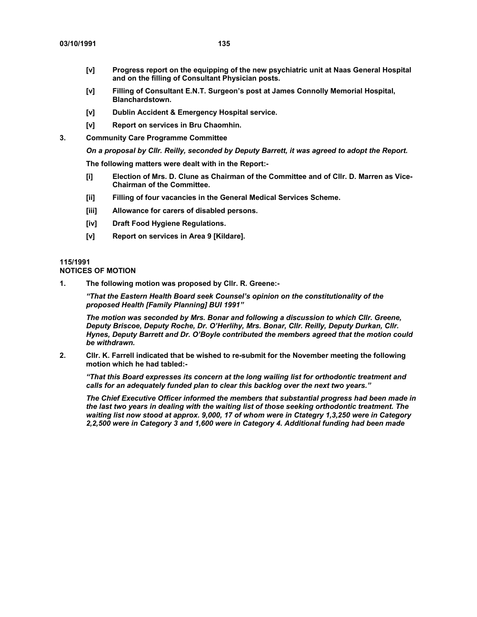- **[v] Progress report on the equipping of the new psychiatric unit at Naas General Hospital and on the filling of Consultant Physician posts.**
- **[v] Filling of Consultant E.N.T. Surgeon's post at James Connolly Memorial Hospital, Blanchardstown.**
- **[v] Dublin Accident & Emergency Hospital service.**
- **[v] Report on services in Bru Chaomhin.**
- **3. Community Care Programme Committee**

*On a proposal by Cllr. Reilly, seconded by Deputy Barrett, it was agreed to adopt the Report.* 

**The following matters were dealt with in the Report:-** 

- **[i] Election of Mrs. D. Clune as Chairman of the Committee and of Cllr. D. Marren as Vice-Chairman of the Committee.**
- **[ii] Filling of four vacancies in the General Medical Services Scheme.**
- **[iii] Allowance for carers of disabled persons.**
- **[iv] Draft Food Hygiene Regulations.**
- **[v] Report on services in Area 9 [Kildare].**

# **115/1991**

# **NOTICES OF MOTION**

**1. The following motion was proposed by Cllr. R. Greene:-** 

*"That the Eastern Health Board seek Counsel's opinion on the constitutionality of the proposed Health [Family Planning] BUI 1991"* 

*The motion was seconded by Mrs. Bonar and following a discussion to which Cllr. Greene, Deputy Briscoe, Deputy Roche, Dr. O'Herlihy, Mrs. Bonar, Cllr. Reilly, Deputy Durkan, Cllr. Hynes, Deputy Barrett and Dr. O'Boyle contributed the members agreed that the motion could be withdrawn.* 

**2. Cllr. K. Farrell indicated that be wished to re-submit for the November meeting the following motion which he had tabled:-** 

*"That this Board expresses its concern at the long wailing list for orthodontic treatment and calls for an adequately funded plan to clear this backlog over the next two years."* 

*The Chief Executive Officer informed the members that substantial progress had been made in the last two years in dealing with the waiting list of those seeking orthodontic treatment. The waiting list now stood at approx. 9,000, 17 of whom were in Ctategry 1,3,250 were in Category 2,2,500 were in Category 3 and 1,600 were in Category 4. Additional funding had been made*